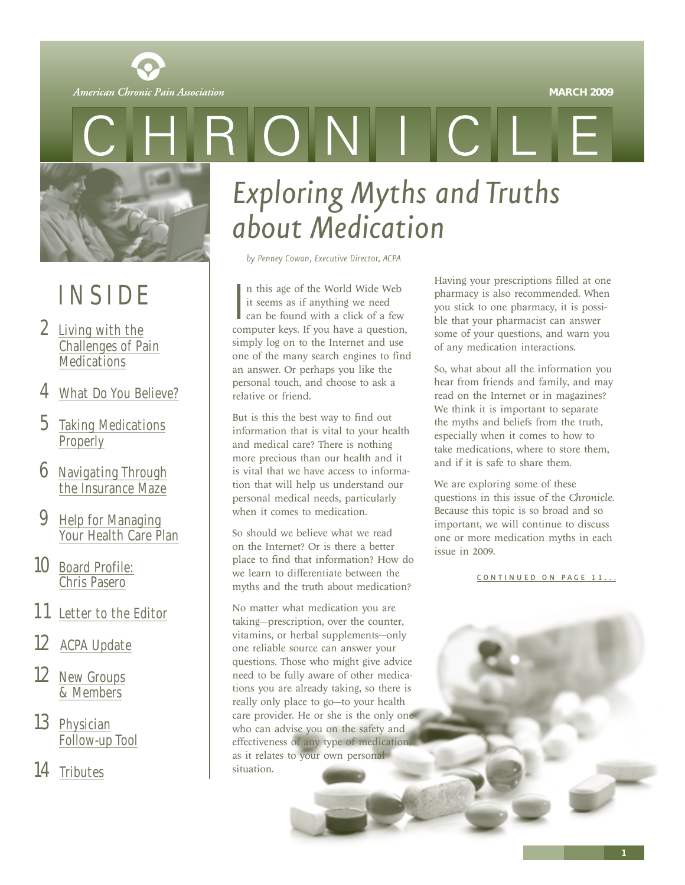

<span id="page-0-0"></span>



# INSIDE

- 2 Living with the [Challenges of Pain](#page-1-0) **Medications**
- 4 [What Do You Believe?](#page-3-0)
- 5 [Taking Medications](#page-4-0) **Properly**
- 6 [Navigating Through](#page-5-0) the Insurance Maze
- 9 Help for Managing [Your Health Care Plan](#page-8-0)
- 10 [Board Profile:](#page-9-0) Chris Pasero
- 11 [Letter to the Editor](#page-10-0)
- 12 [ACPA Update](#page-11-0)
- 12 [New Groups](#page-11-0) & Members
- 13 Physician [Follow-up Tool](#page-12-0)
- 14 [Tributes](#page-13-0)

# *Exploring Myths and Truths about Medication*

RONIC

*by Penney Cowan, Executive Director, ACPA*

In this age of the World Wide Web<br>it seems as if anything we need<br>can be found with a click of a few<br>computer keys. If you have a question, n this age of the World Wide Web it seems as if anything we need can be found with a click of a few simply log on to the Internet and use one of the many search engines to find an answer. Or perhaps you like the personal touch, and choose to ask a relative or friend.

But is this the best way to find out information that is vital to your health and medical care? There is nothing more precious than our health and it is vital that we have access to information that will help us understand our personal medical needs, particularly when it comes to medication.

So should we believe what we read on the Internet? Or is there a better place to find that information? How do we learn to differentiate between the myths and the truth about medication?

No matter what medication you are taking—prescription, over the counter, vitamins, or herbal supplements—only one reliable source can answer your questions. Those who might give advice need to be fully aware of other medications you are already taking, so there is really only place to go—to your health care provider. He or she is the only one who can advise you on the safety and effectiveness of any type of medication, as it relates to your own personal situation.

Having your prescriptions filled at one pharmacy is also recommended. When you stick to one pharmacy, it is possible that your pharmacist can answer some of your questions, and warn you of any medication interactions.

So, what about all the information you hear from friends and family, and may read on the Internet or in magazines? We think it is important to separate the myths and beliefs from the truth, especially when it comes to how to take medications, where to store them, and if it is safe to share them.

We are exploring some of these questions in this issue of the *Chronicle*. Because this topic is so broad and so important, we will continue to discuss one or more medication myths in each issue in 2009.

CONTINUED ON PAGE 11...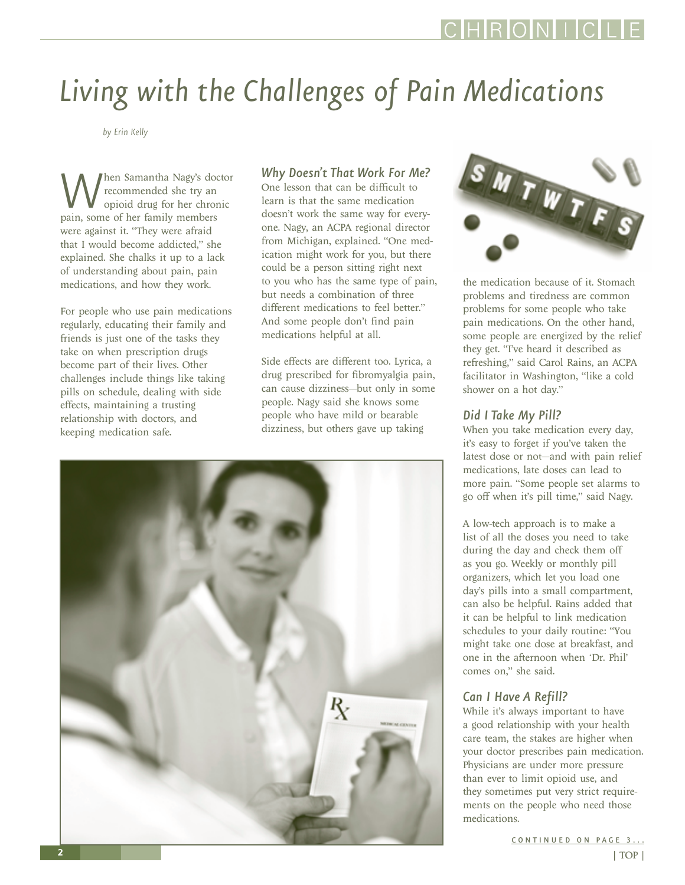# <span id="page-1-0"></span>*Living with the Challenges of Pain Medications*

*by Erin Kelly*

When Samantha Nagy's doctor pain, some of her family members recommended she try an opioid drug for her chronic were against it. "They were afraid that I would become addicted," she explained. She chalks it up to a lack of understanding about pain, pain medications, and how they work.

For people who use pain medications regularly, educating their family and friends is just one of the tasks they take on when prescription drugs become part of their lives. Other challenges include things like taking pills on schedule, dealing with side effects, maintaining a trusting relationship with doctors, and keeping medication safe.

### *Why Doesn't That Work For Me?*

One lesson that can be difficult to learn is that the same medication doesn't work the same way for everyone. Nagy, an ACPA regional director from Michigan, explained. "One medication might work for you, but there could be a person sitting right next to you who has the same type of pain, but needs a combination of three different medications to feel better." And some people don't find pain medications helpful at all.

Side effects are different too. Lyrica, a drug prescribed for fibromyalgia pain, can cause dizziness—but only in some people. Nagy said she knows some people who have mild or bearable dizziness, but others gave up taking





the medication because of it. Stomach problems and tiredness are common problems for some people who take pain medications. On the other hand, some people are energized by the relief they get. "I've heard it described as refreshing," said Carol Rains, an ACPA facilitator in Washington, "like a cold shower on a hot day."

#### *Did I Take My Pill?*

When you take medication every day, it's easy to forget if you've taken the latest dose or not—and with pain relief medications, late doses can lead to more pain. "Some people set alarms to go off when it's pill time," said Nagy.

A low-tech approach is to make a list of all the doses you need to take during the day and check them off as you go. Weekly or monthly pill organizers, which let you load one day's pills into a small compartment, can also be helpful. Rains added that it can be helpful to link medication schedules to your daily routine: "You might take one dose at breakfast, and one in the afternoon when 'Dr. Phil' comes on," she said.

#### *Can I Have A Refill?*

While it's always important to have a good relationship with your health care team, the stakes are higher when your doctor prescribes pain medication. Physicians are under more pressure than ever to limit opioid use, and they sometimes put very strict requirements on the people who need those medications.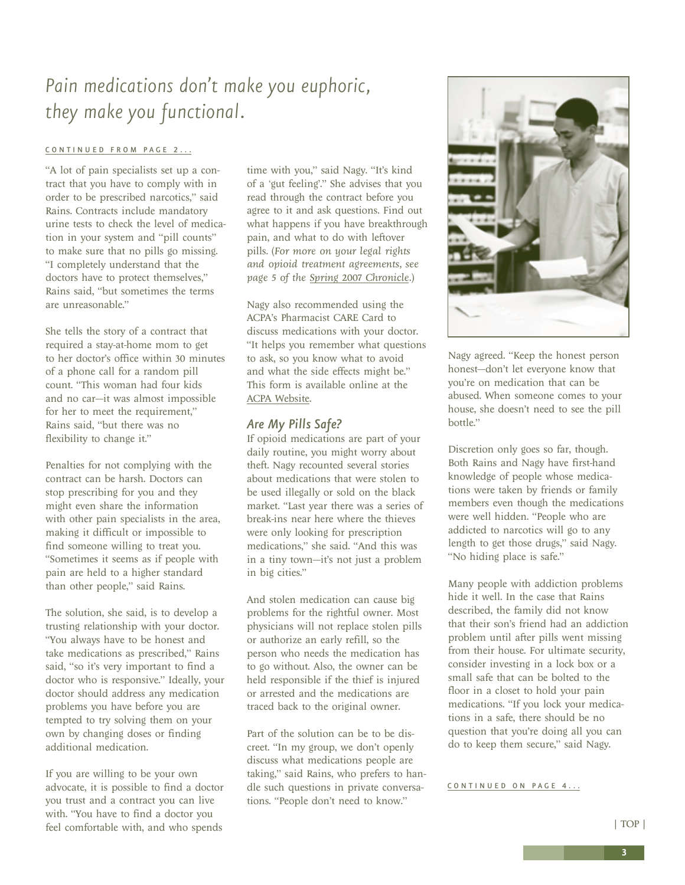### <span id="page-2-0"></span>*Pain medications don't make you euphoric, they make you functional.*

#### [CONTINUED FROM PAGE 2...](#page-1-0)

"A lot of pain specialists set up a contract that you have to comply with in order to be prescribed narcotics," said Rains. Contracts include mandatory urine tests to check the level of medication in your system and "pill counts" to make sure that no pills go missing. "I completely understand that the doctors have to protect themselves," Rains said, "but sometimes the terms are unreasonable."

She tells the story of a contract that required a stay-at-home mom to get to her doctor's office within 30 minutes of a phone call for a random pill count. "This woman had four kids and no car—it was almost impossible for her to meet the requirement," Rains said, "but there was no flexibility to change it."

Penalties for not complying with the contract can be harsh. Doctors can stop prescribing for you and they might even share the information with other pain specialists in the area, making it difficult or impossible to find someone willing to treat you. "Sometimes it seems as if people with pain are held to a higher standard than other people," said Rains.

The solution, she said, is to develop a trusting relationship with your doctor. "You always have to be honest and take medications as prescribed," Rains said, "so it's very important to find a doctor who is responsive." Ideally, your doctor should address any medication problems you have before you are tempted to try solving them on your own by changing doses or finding additional medication.

If you are willing to be your own advocate, it is possible to find a doctor you trust and a contract you can live with. "You have to find a doctor you feel comfortable with, and who spends

time with you," said Nagy. "It's kind of a 'gut feeling'." She advises that you read through the contract before you agree to it and ask questions. Find out what happens if you have breakthrough pain, and what to do with leftover pills. (*For more on your legal rights and opioid treatment agreements, see page 5 of the Spring* 2007 *[Chronicle.](http://www.theacpa.org/documents/chronicle_spring07_WEB_final.pdf)*)

Nagy also recommended using the ACPA's Pharmacist CARE Card to discuss medications with your doctor. "It helps you remember what questions to ask, so you know what to avoid and what the side effects might be." This form is available online at the [ACPA Website.](http://theacpa.org/documents/CareCard2008.pdf)

#### *Are My Pills Safe?*

If opioid medications are part of your daily routine, you might worry about theft. Nagy recounted several stories about medications that were stolen to be used illegally or sold on the black market. "Last year there was a series of break-ins near here where the thieves were only looking for prescription medications," she said. "And this was in a tiny town—it's not just a problem in big cities."

And stolen medication can cause big problems for the rightful owner. Most physicians will not replace stolen pills or authorize an early refill, so the person who needs the medication has to go without. Also, the owner can be held responsible if the thief is injured or arrested and the medications are traced back to the original owner.

Part of the solution can be to be discreet. "In my group, we don't openly discuss what medications people are taking," said Rains, who prefers to handle such questions in private conversations. "People don't need to know."



Nagy agreed. "Keep the honest person honest—don't let everyone know that you're on medication that can be abused. When someone comes to your house, she doesn't need to see the pill bottle."

Discretion only goes so far, though. Both Rains and Nagy have first-hand knowledge of people whose medications were taken by friends or family members even though the medications were well hidden. "People who are addicted to narcotics will go to any length to get those drugs," said Nagy. "No hiding place is safe."

Many people with addiction problems hide it well. In the case that Rains described, the family did not know that their son's friend had an addiction problem until after pills went missing from their house. For ultimate security, consider investing in a lock box or a small safe that can be bolted to the floor in a closet to hold your pain medications. "If you lock your medications in a safe, there should be no question that you're doing all you can do to keep them secure," said Nagy.

CONTINUED ON PAGE 4...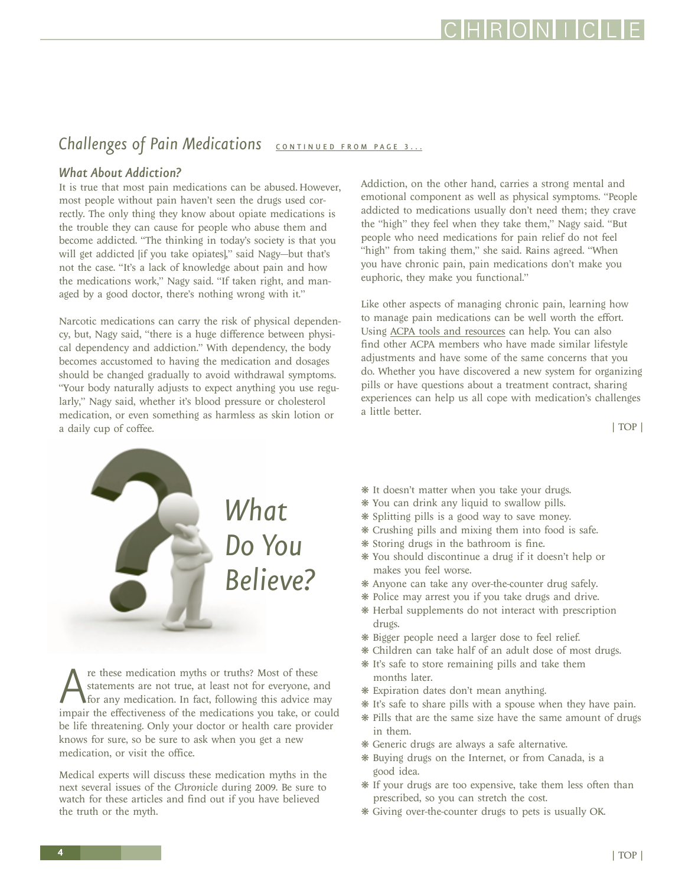### <span id="page-3-0"></span>**Challenges of Pain Medications [CONTINUED FROM PAGE 3...](#page-2-0)**

#### *What About Addiction?*

It is true that most pain medications can be abused. However, most people without pain haven't seen the drugs used correctly. The only thing they know about opiate medications is the trouble they can cause for people who abuse them and become addicted. "The thinking in today's society is that you will get addicted [if you take opiates]," said Nagy—but that's not the case. "It's a lack of knowledge about pain and how the medications work," Nagy said. "If taken right, and managed by a good doctor, there's nothing wrong with it."

Narcotic medications can carry the risk of physical dependency, but, Nagy said, "there is a huge difference between physical dependency and addiction." With dependency, the body becomes accustomed to having the medication and dosages should be changed gradually to avoid withdrawal symptoms. "Your body naturally adjusts to expect anything you use regularly," Nagy said, whether it's blood pressure or cholesterol medication, or even something as harmless as skin lotion or a daily cup of coffee.

Addiction, on the other hand, carries a strong mental and emotional component as well as physical symptoms. "People addicted to medications usually don't need them; they crave the "high" they feel when they take them," Nagy said. "But people who need medications for pain relief do not feel "high" from taking them," she said. Rains agreed. "When you have chronic pain, pain medications don't make you euphoric, they make you functional."

Like other aspects of managing chronic pain, learning how to manage pain medications can be well worth the effort. Using [ACPA tools and resources](http://www.theacpa.org/people/resources.asp) can help. You can also find other ACPA members who have made similar lifestyle adjustments and have some of the same concerns that you do. Whether you have discovered a new system for organizing pills or have questions about a treatment contract, sharing experiences can help us all cope with medication's challenges a little better.

[| TOP |](#page-0-0)



Are these medication myths or truths? Most of these<br>statements are not true, at least not for everyone, and<br>for any medication. In fact, following this advice may<br>impair the effectiveness of the medications you take, or co statements are not true, at least not for everyone, and for any medication. In fact, following this advice may be life threatening. Only your doctor or health care provider knows for sure, so be sure to ask when you get a new medication, or visit the office.

Medical experts will discuss these medication myths in the next several issues of the *Chronicle* during 2009. Be sure to watch for these articles and find out if you have believed the truth or the myth.

- ❋ It doesn't matter when you take your drugs.
- ❋ You can drink any liquid to swallow pills.
- ❋ Splitting pills is a good way to save money.
- ❋ Crushing pills and mixing them into food is safe.
- ❋ Storing drugs in the bathroom is fine.
- ❋ You should discontinue a drug if it doesn't help or makes you feel worse.
- ❋ Anyone can take any over-the-counter drug safely.
- ❋ Police may arrest you if you take drugs and drive.
- ❋ Herbal supplements do not interact with prescription drugs.
- ❋ Bigger people need a larger dose to feel relief.
- ❋ Children can take half of an adult dose of most drugs.
- ❋ It's safe to store remaining pills and take them months later.
- ❋ Expiration dates don't mean anything.
- ❋ It's safe to share pills with a spouse when they have pain.
- ❋ Pills that are the same size have the same amount of drugs in them.
- ❋ Generic drugs are always a safe alternative.
- ❋ Buying drugs on the Internet, or from Canada, is a good idea.
- ❋ If your drugs are too expensive, take them less often than prescribed, so you can stretch the cost.
- ❋ Giving over-the-counter drugs to pets is usually OK.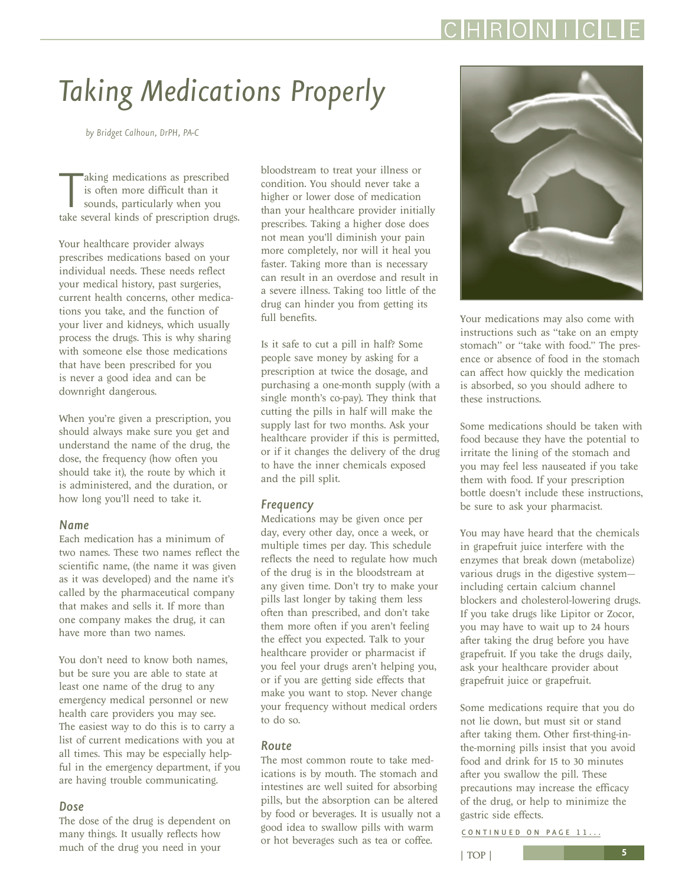## HRON

# <span id="page-4-0"></span>*Taking Medications Properly*

*by Bridget Calhoun, DrPH, PA-C*

The same set of the more difficult than it<br>sounds, particularly when you<br>take several kinds of prescription drugs. aking medications as prescribed is often more difficult than it sounds, particularly when you

Your healthcare provider always prescribes medications based on your individual needs. These needs reflect your medical history, past surgeries, current health concerns, other medications you take, and the function of your liver and kidneys, which usually process the drugs. This is why sharing with someone else those medications that have been prescribed for you is never a good idea and can be downright dangerous.

When you're given a prescription, you should always make sure you get and understand the name of the drug, the dose, the frequency (how often you should take it), the route by which it is administered, and the duration, or how long you'll need to take it.

#### *Name*

Each medication has a minimum of two names. These two names reflect the scientific name, (the name it was given as it was developed) and the name it's called by the pharmaceutical company that makes and sells it. If more than one company makes the drug, it can have more than two names.

You don't need to know both names, but be sure you are able to state at least one name of the drug to any emergency medical personnel or new health care providers you may see. The easiest way to do this is to carry a list of current medications with you at all times. This may be especially helpful in the emergency department, if you are having trouble communicating.

#### *Dose*

The dose of the drug is dependent on many things. It usually reflects how much of the drug you need in your

bloodstream to treat your illness or condition. You should never take a higher or lower dose of medication than your healthcare provider initially prescribes. Taking a higher dose does not mean you'll diminish your pain more completely, nor will it heal you faster. Taking more than is necessary can result in an overdose and result in a severe illness. Taking too little of the drug can hinder you from getting its full benefits.

Is it safe to cut a pill in half? Some people save money by asking for a prescription at twice the dosage, and purchasing a one-month supply (with a single month's co-pay). They think that cutting the pills in half will make the supply last for two months. Ask your healthcare provider if this is permitted, or if it changes the delivery of the drug to have the inner chemicals exposed and the pill split.

#### *Frequency*

Medications may be given once per day, every other day, once a week, or multiple times per day. This schedule reflects the need to regulate how much of the drug is in the bloodstream at any given time. Don't try to make your pills last longer by taking them less often than prescribed, and don't take them more often if you aren't feeling the effect you expected. Talk to your healthcare provider or pharmacist if you feel your drugs aren't helping you, or if you are getting side effects that make you want to stop. Never change your frequency without medical orders to do so.

#### *Route*

The most common route to take medications is by mouth. The stomach and intestines are well suited for absorbing pills, but the absorption can be altered by food or beverages. It is usually not a good idea to swallow pills with warm or hot beverages such as tea or coffee.



Your medications may also come with instructions such as "take on an empty stomach" or "take with food." The presence or absence of food in the stomach can affect how quickly the medication is absorbed, so you should adhere to these instructions.

Some medications should be taken with food because they have the potential to irritate the lining of the stomach and you may feel less nauseated if you take them with food. If your prescription bottle doesn't include these instructions, be sure to ask your pharmacist.

You may have heard that the chemicals in grapefruit juice interfere with the enzymes that break down (metabolize) various drugs in the digestive system including certain calcium channel blockers and cholesterol-lowering drugs. If you take drugs like Lipitor or Zocor, you may have to wait up to 24 hours after taking the drug before you have grapefruit. If you take the drugs daily, ask your healthcare provider about grapefruit juice or grapefruit.

Some medications require that you do not lie down, but must sit or stand after taking them. Other first-thing-inthe-morning pills insist that you avoid food and drink for 15 to 30 minutes after you swallow the pill. These precautions may increase the efficacy of the drug, or help to minimize the gastric side effects.

CONTINUED ON PAGE 11...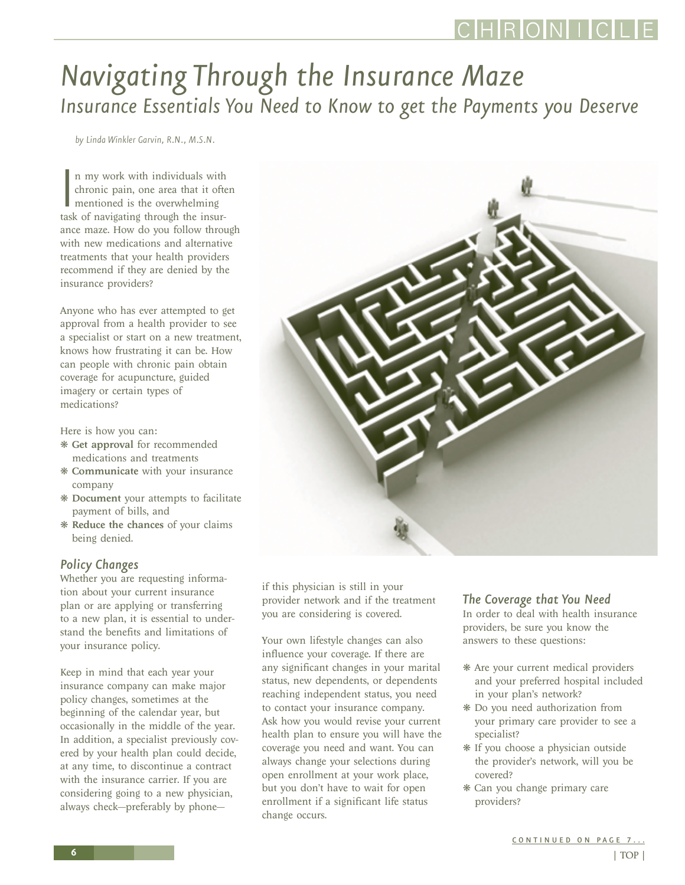## <span id="page-5-0"></span>*Navigating Through the Insurance Maze Insurance Essentials You Need to Know to get the Payments you Deserve*

*by Linda Winkler Garvin, R.N., M.S.N.* 

In my work with individuals with<br>chronic pain, one area that it ofter<br>mentioned is the overwhelming<br>task of navigating through the insurn my work with individuals with chronic pain, one area that it often mentioned is the overwhelming ance maze. How do you follow through with new medications and alternative treatments that your health providers recommend if they are denied by the insurance providers?

Anyone who has ever attempted to get approval from a health provider to see a specialist or start on a new treatment, knows how frustrating it can be. How can people with chronic pain obtain coverage for acupuncture, guided imagery or certain types of medications?

Here is how you can:

- ❋ Get approval for recommended medications and treatments
- ❋ Communicate with your insurance company
- ❋ Document your attempts to facilitate payment of bills, and
- ❋ Reduce the chances of your claims being denied.

#### *Policy Changes*

Whether you are requesting information about your current insurance plan or are applying or transferring to a new plan, it is essential to understand the benefits and limitations of your insurance policy.

Keep in mind that each year your insurance company can make major policy changes, sometimes at the beginning of the calendar year, but occasionally in the middle of the year. In addition, a specialist previously covered by your health plan could decide, at any time, to discontinue a contract with the insurance carrier. If you are considering going to a new physician, always check—preferably by phone—



if this physician is still in your provider network and if the treatment you are considering is covered.

Your own lifestyle changes can also influence your coverage. If there are any significant changes in your marital status, new dependents, or dependents reaching independent status, you need to contact your insurance company. Ask how you would revise your current health plan to ensure you will have the coverage you need and want. You can always change your selections during open enrollment at your work place, but you don't have to wait for open enrollment if a significant life status change occurs.

#### *The Coverage that You Need*

In order to deal with health insurance providers, be sure you know the answers to these questions:

- ❋ Are your current medical providers and your preferred hospital included in your plan's network?
- ❋ Do you need authorization from your primary care provider to see a specialist?
- ❋ If you choose a physician outside the provider's network, will you be covered?
- ❋ Can you change primary care providers?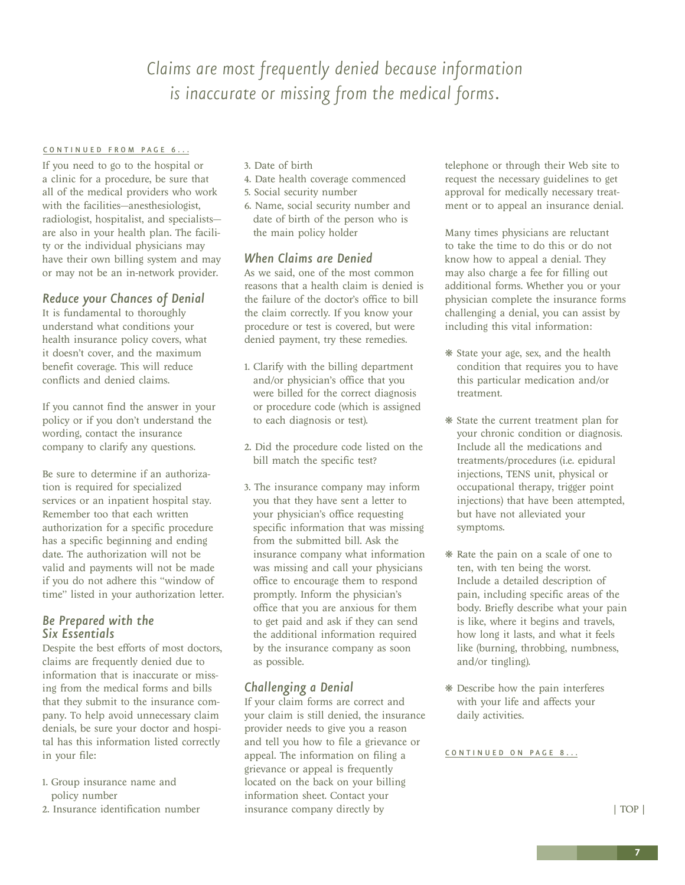*Claims are most frequently denied because information is inaccurate or missing from the medical forms.* 

#### <span id="page-6-0"></span>[CONTINUED FROM PAGE 6...](#page-5-0)

If you need to go to the hospital or a clinic for a procedure, be sure that all of the medical providers who work with the facilities—anesthesiologist, radiologist, hospitalist, and specialists are also in your health plan. The facility or the individual physicians may have their own billing system and may or may not be an in-network provider.

#### *Reduce your Chances of Denial*

It is fundamental to thoroughly understand what conditions your health insurance policy covers, what it doesn't cover, and the maximum benefit coverage. This will reduce conflicts and denied claims.

If you cannot find the answer in your policy or if you don't understand the wording, contact the insurance company to clarify any questions.

Be sure to determine if an authorization is required for specialized services or an inpatient hospital stay. Remember too that each written authorization for a specific procedure has a specific beginning and ending date. The authorization will not be valid and payments will not be made if you do not adhere this "window of time" listed in your authorization letter.

#### *Be Prepared with the Six Essentials*

Despite the best efforts of most doctors, claims are frequently denied due to information that is inaccurate or missing from the medical forms and bills that they submit to the insurance company. To help avoid unnecessary claim denials, be sure your doctor and hospital has this information listed correctly in your file:

- 1. Group insurance name and policy number
- 2. Insurance identification number
- 3. Date of birth
- 4. Date health coverage commenced
- 5. Social security number
- 6. Name, social security number and date of birth of the person who is the main policy holder

#### *When Claims are Denied*

As we said, one of the most common reasons that a health claim is denied is the failure of the doctor's office to bill the claim correctly. If you know your procedure or test is covered, but were denied payment, try these remedies.

- 1. Clarify with the billing department and/or physician's office that you were billed for the correct diagnosis or procedure code (which is assigned to each diagnosis or test).
- 2. Did the procedure code listed on the bill match the specific test?
- 3. The insurance company may inform you that they have sent a letter to your physician's office requesting specific information that was missing from the submitted bill. Ask the insurance company what information was missing and call your physicians office to encourage them to respond promptly. Inform the physician's office that you are anxious for them to get paid and ask if they can send the additional information required by the insurance company as soon as possible.

#### *Challenging a Denial*

If your claim forms are correct and your claim is still denied, the insurance provider needs to give you a reason and tell you how to file a grievance or appeal. The information on filing a grievance or appeal is frequently located on the back on your billing information sheet. Contact your insurance company directly by

telephone or through their Web site to request the necessary guidelines to get approval for medically necessary treatment or to appeal an insurance denial.

Many times physicians are reluctant to take the time to do this or do not know how to appeal a denial. They may also charge a fee for filling out additional forms. Whether you or your physician complete the insurance forms challenging a denial, you can assist by including this vital information:

- ❋ State your age, sex, and the health condition that requires you to have this particular medication and/or treatment.
- ❋ State the current treatment plan for your chronic condition or diagnosis. Include all the medications and treatments/procedures (i.e. epidural injections, TENS unit, physical or occupational therapy, trigger point injections) that have been attempted, but have not alleviated your symptoms.
- ❋ Rate the pain on a scale of one to ten, with ten being the worst. Include a detailed description of pain, including specific areas of the body. Briefly describe what your pain is like, where it begins and travels, how long it lasts, and what it feels like (burning, throbbing, numbness, and/or tingling).
- ❋ Describe how the pain interferes with your life and affects your daily activities.

CONTINUED ON PAGE 8...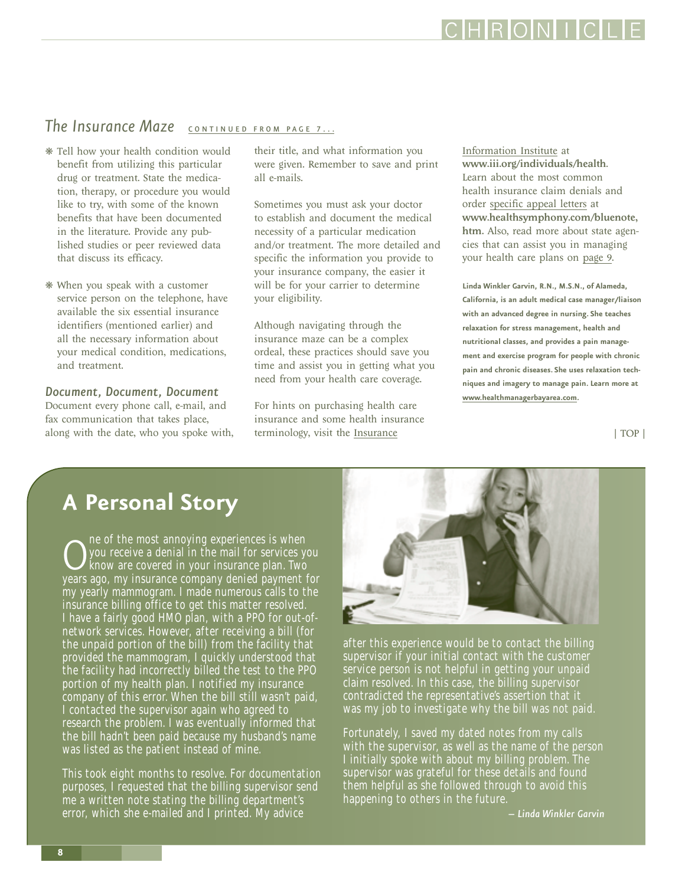### <span id="page-7-0"></span>The Insurance Maze **[CONTINUED FROM PAGE 7...](#page-6-0)**

- ❋ Tell how your health condition would benefit from utilizing this particular drug or treatment. State the medication, therapy, or procedure you would like to try, with some of the known benefits that have been documented in the literature. Provide any published studies or peer reviewed data that discuss its efficacy.
- ❋ When you speak with a customer service person on the telephone, have available the six essential insurance identifiers (mentioned earlier) and all the necessary information about your medical condition, medications, and treatment.

*Document, Document, Document* Document every phone call, e-mail, and fax communication that takes place, along with the date, who you spoke with, their title, and what information you were given. Remember to save and print all e-mails.

Sometimes you must ask your doctor to establish and document the medical necessity of a particular medication and/or treatment. The more detailed and specific the information you provide to your insurance company, the easier it will be for your carrier to determine your eligibility.

Although navigating through the insurance maze can be a complex ordeal, these practices should save you time and assist you in getting what you need from your health care coverage.

For hints on purchasing health care insurance and some health insurance terminology, visit the [Insurance](www.iii.org/individuals/health)

[Information Institute](www.iii.org/individuals/health) at www.iii.org/individuals/health. Learn about the most common health insurance claim denials and order [specific appeal letters](www.healthsymphony.com/bluenote.htm) at www.healthsymphony.com/bluenote, htm. Also, read more about state agencies that can assist you in managing your health care plans on [page 9](#page-8-0).

HRONIC

**Linda Winkler Garvin, R.N., M.S.N., of Alameda, California, is an adult medical case manager/liaison with an advanced degree in nursing. She teaches relaxation for stress management, health and nutritional classes, and provides a pain management and exercise program for people with chronic pain and chronic diseases. She uses relaxation techniques and imagery to manage pain. Learn more at [www.healthmanagerbayarea.com.](www.healthmanagerbayarea.com)**

[| TOP |](#page-0-0)

### **A Personal Story**

One of the most annoying experiences is when<br>Jyou receive a denial in the mail for services y<br>know are covered in your insurance plan. Two<br>years ago, my insurance company denied payment you receive a denial in the mail for services you know are covered in your insurance plan. Two years ago, my insurance company denied payment for my yearly mammogram. I made numerous calls to the insurance billing office to get this matter resolved. I have a fairly good HMO plan, with a PPO for out-ofnetwork services. However, after receiving a bill (for the unpaid portion of the bill) from the facility that provided the mammogram, I quickly understood that the facility had incorrectly billed the test to the PPO portion of my health plan. I notified my insurance company of this error. When the bill still wasn't paid, I contacted the supervisor again who agreed to research the problem. I was eventually informed that the bill hadn't been paid because my husband's name was listed as the patient instead of mine.

This took eight months to resolve. For documentation purposes, I requested that the billing supervisor send me a written note stating the billing department's error, which she e-mailed and I printed. My advice

after this experience would be to contact the billing supervisor if your initial contact with the customer service person is not helpful in getting your unpaid claim resolved. In this case, the billing supervisor contradicted the representative's assertion that it was my job to investigate why the bill was not paid.

Fortunately, I saved my dated notes from my calls with the supervisor, as well as the name of the person I initially spoke with about my billing problem. The supervisor was grateful for these details and found them helpful as she followed through to avoid this happening to others in the future.

*– Linda Winkler Garvin*

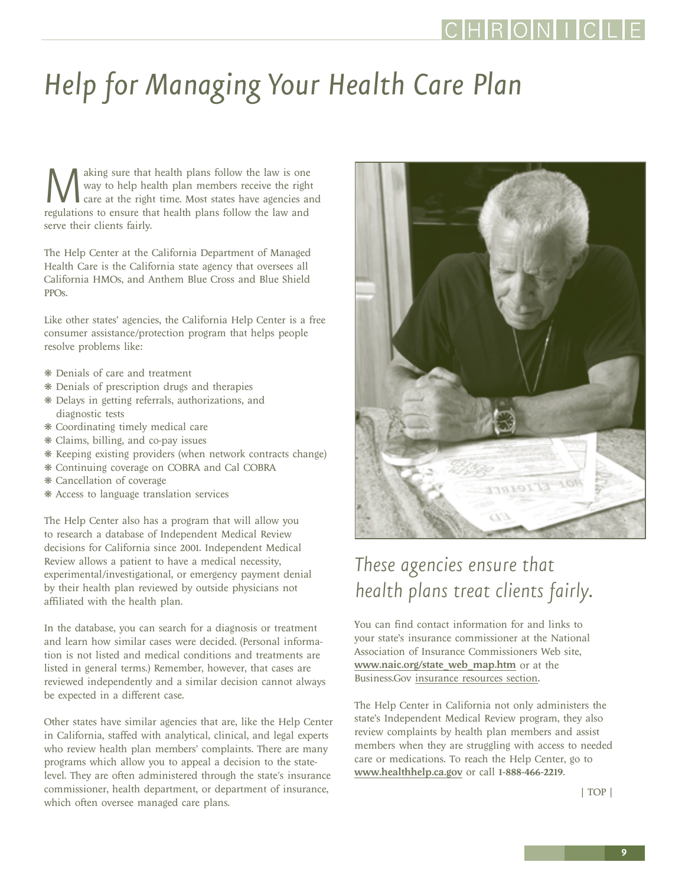# <span id="page-8-0"></span>*Help for Managing Your Health Care Plan*

**M** aking sure that health plans follow the law is one way to help health plan members receive the right care at the right time. Most states have agencies an regulations to ensure that health plans follow the law and way to help health plan members receive the right care at the right time. Most states have agencies and serve their clients fairly.

The Help Center at the California Department of Managed Health Care is the California state agency that oversees all California HMOs, and Anthem Blue Cross and Blue Shield PPOs.

Like other states' agencies, the California Help Center is a free consumer assistance/protection program that helps people resolve problems like:

- ❋ Denials of care and treatment
- ❋ Denials of prescription drugs and therapies
- ❋ Delays in getting referrals, authorizations, and diagnostic tests
- ❋ Coordinating timely medical care
- ❋ Claims, billing, and co-pay issues
- ❋ Keeping existing providers (when network contracts change)
- ❋ Continuing coverage on COBRA and Cal COBRA
- ❋ Cancellation of coverage
- ❋ Access to language translation services

The Help Center also has a program that will allow you to research a database of Independent Medical Review decisions for California since 2001. Independent Medical Review allows a patient to have a medical necessity, experimental/investigational, or emergency payment denial by their health plan reviewed by outside physicians not affiliated with the health plan.

In the database, you can search for a diagnosis or treatment and learn how similar cases were decided. (Personal information is not listed and medical conditions and treatments are listed in general terms.) Remember, however, that cases are reviewed independently and a similar decision cannot always be expected in a different case.

Other states have similar agencies that are, like the Help Center in California, staffed with analytical, clinical, and legal experts who review health plan members' complaints. There are many programs which allow you to appeal a decision to the statelevel. They are often administered through the state's insurance commissioner, health department, or department of insurance, which often oversee managed care plans.



## *These agencies ensure that health plans treat clients fairly.*

You can find contact information for and links to your state's insurance commissioner at the National Association of Insurance Commissioners Web site, www.naic.org/state\_web\_map.htm or at the Business.Gov [insurance resources section](www.business.gov/guides/finance/business-insurance/insurance-resources.html).

The Help Center in California not only administers the state's Independent Medical Review program, they also review complaints by health plan members and assist members when they are struggling with access to needed care or medications. To reach the Help Center, go to www.healthhelp.ca.gov or call 1-888-466-2219.

[| TOP |](#page-0-0)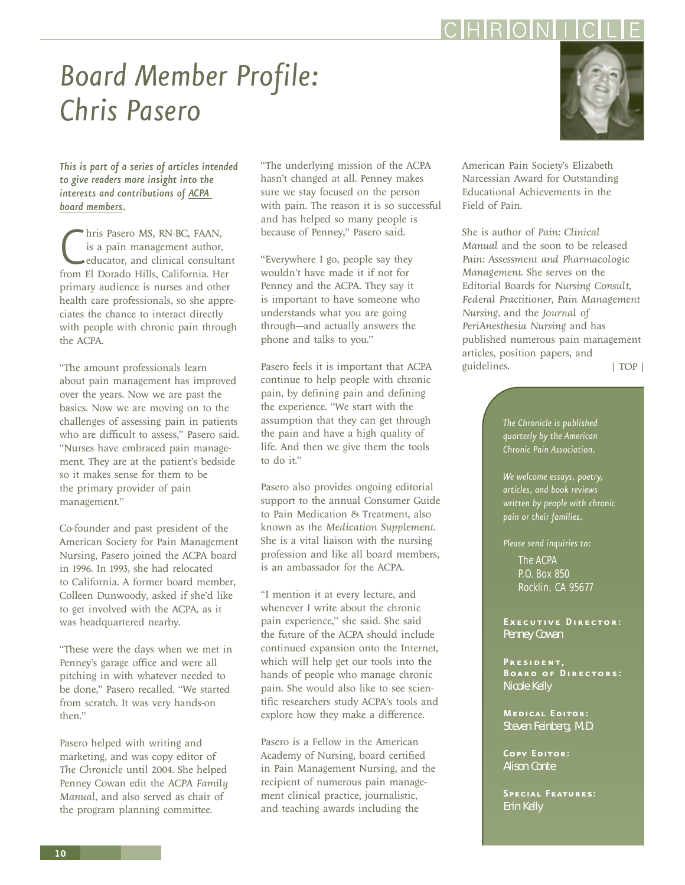## <span id="page-9-0"></span>*Board Member Profile: Chris Pasero*

*This is part of a series of articles intended to give readers more insight into the interests and contributions of [ACPA](http://www.theacpa.org/about/directors.asp)  [board members.](http://www.theacpa.org/about/directors.asp)*

Inis Pasero MS, RN-BC, FAAN,<br>is a pain management author,<br>educator, and clinical consultar<br>from El Dorado Hills, California. Her hris Pasero MS, RN-BC, FAAN, is a pain management author, educator, and clinical consultant primary audience is nurses and other health care professionals, so she appreciates the chance to interact directly with people with chronic pain through the ACPA.

"The amount professionals learn about pain management has improved over the years. Now we are past the basics. Now we are moving on to the challenges of assessing pain in patients who are difficult to assess," Pasero said. "Nurses have embraced pain management. They are at the patient's bedside so it makes sense for them to be the primary provider of pain management."

Co-founder and past president of the American Society for Pain Management Nursing, Pasero joined the ACPA board in 1996. In 1993, she had relocated to California. A former board member, Colleen Dunwoody, asked if she'd like to get involved with the ACPA, as it was headquartered nearby.

"These were the days when we met in Penney's garage office and were all pitching in with whatever needed to be done," Pasero recalled. "We started from scratch. It was very hands-on then."

Pasero helped with writing and marketing, and was copy editor of *The Chronicle* until 2004. She helped Penney Cowan edit the *ACPA Family Manual*, and also served as chair of the program planning committee.

"The underlying mission of the ACPA hasn't changed at all. Penney makes sure we stay focused on the person with pain. The reason it is so successful and has helped so many people is because of Penney," Pasero said.

"Everywhere I go, people say they wouldn't have made it if not for Penney and the ACPA. They say it is important to have someone who understands what you are going through—and actually answers the phone and talks to you."

Pasero feels it is important that ACPA continue to help people with chronic pain, by defining pain and defining the experience. "We start with the assumption that they can get through the pain and have a high quality of life. And then we give them the tools to do it."

Pasero also provides ongoing editorial support to the annual Consumer Guide to Pain Medication & Treatment, also known as the *Medication Supplement*. She is a vital liaison with the nursing profession and like all board members, is an ambassador for the ACPA.

"I mention it at every lecture, and whenever I write about the chronic pain experience," she said. She said the future of the ACPA should include continued expansion onto the Internet, which will help get our tools into the hands of people who manage chronic pain. She would also like to see scientific researchers study ACPA's tools and explore how they make a difference.

Pasero is a Fellow in the American Academy of Nursing, board certified in Pain Management Nursing, and the recipient of numerous pain management clinical practice, journalistic, and teaching awards including the

American Pain Society's Elizabeth Narcessian Award for Outstanding Educational Achievements in the Field of Pain.

She is author of *Pain: Clinical Manual* and the soon to be released *Pain: Assessment and Pharmacologic Management*. She serves on the Editorial Boards for *Nursing Consult*, *Federal Practitioner*, *Pain Management Nursing*, and the *Journal of PeriAnesthesia Nursing* and has published numerous pain management articles, position papers, and guidelines. [| TOP |](#page-0-0)

> *The Chronicle is published quarterly by the American Chronic Pain Association.*

*We welcome essays, poetry, articles, and book reviews written by people with chronic pain or their families.*

*Please send inquiries to:*

The ACPA P.O. Box 850 Rocklin, CA 95677

**Executive Director:** Penney Cowan

**President, Board of Directors:** Nicole Kelly

**Medical Editor:** Steven Feinberg, M.D.

**Copy Editor:** Alison Conte

**Special Features:** Erin Kelly

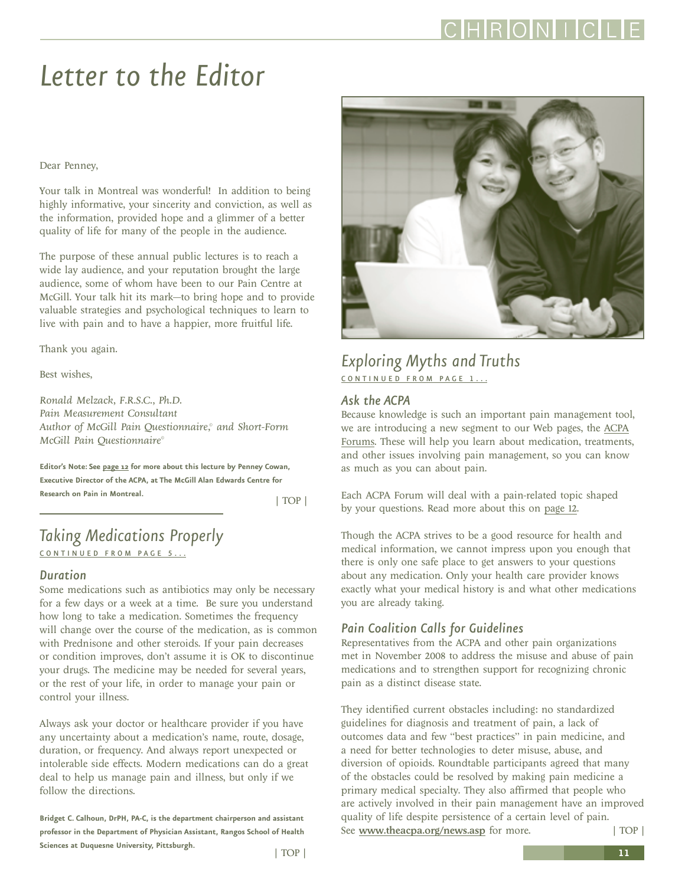# <span id="page-10-0"></span>*Letter to the Editor*

#### Dear Penney,

Your talk in Montreal was wonderful! In addition to being highly informative, your sincerity and conviction, as well as the information, provided hope and a glimmer of a better quality of life for many of the people in the audience.

The purpose of these annual public lectures is to reach a wide lay audience, and your reputation brought the large audience, some of whom have been to our Pain Centre at McGill. Your talk hit its mark—to bring hope and to provide valuable strategies and psychological techniques to learn to live with pain and to have a happier, more fruitful life.

Thank you again.

Best wishes,

*Ronald Melzack, F.R.S.C., Ph.D. Pain Measurement Consultant Author of McGill Pain Questionnaire,© and Short-Form McGill Pain Questionnaire©*

**Editor's Note: See [page 12](#page-11-0) for more about this lecture by Penney Cowan, Executive Director of the ACPA, at The McGill Alan Edwards Centre for Research on Pain in Montreal.**

[| TOP |](#page-0-0)

### *Taking Medications Properly*  [CONTINUED FROM PAGE 5...](#page-4-0)

#### *Duration*

Some medications such as antibiotics may only be necessary for a few days or a week at a time. Be sure you understand how long to take a medication. Sometimes the frequency will change over the course of the medication, as is common with Prednisone and other steroids. If your pain decreases or condition improves, don't assume it is OK to discontinue your drugs. The medicine may be needed for several years, or the rest of your life, in order to manage your pain or control your illness.

Always ask your doctor or healthcare provider if you have any uncertainty about a medication's name, route, dosage, duration, or frequency. And always report unexpected or intolerable side effects. Modern medications can do a great deal to help us manage pain and illness, but only if we follow the directions.

**Bridget C. Calhoun, DrPH, PA-C, is the department chairperson and assistant professor in the Department of Physician Assistant, Rangos School of Health Sciences at Duquesne University, Pittsburgh.**



Though the ACPA strives to be a good resource for health and medical information, we cannot impress upon you enough that there is only one safe place to get answers to your questions about any medication. Only your health care provider knows exactly what your medical history is and what other medications you are already taking.

#### *Pain Coalition Calls for Guidelines*

Representatives from the ACPA and other pain organizations met in November 2008 to address the misuse and abuse of pain medications and to strengthen support for recognizing chronic pain as a distinct disease state.

They identified current obstacles including: no standardized guidelines for diagnosis and treatment of pain, a lack of outcomes data and few "best practices" in pain medicine, and a need for better technologies to deter misuse, abuse, and diversion of opioids. Roundtable participants agreed that many of the obstacles could be resolved by making pain medicine a primary medical specialty. They also affirmed that people who are actively involved in their pain management have an improved quality of life despite persistence of a certain level of pain. See www.theacpa.org/news.asp for more. [| TOP |](#page-0-0)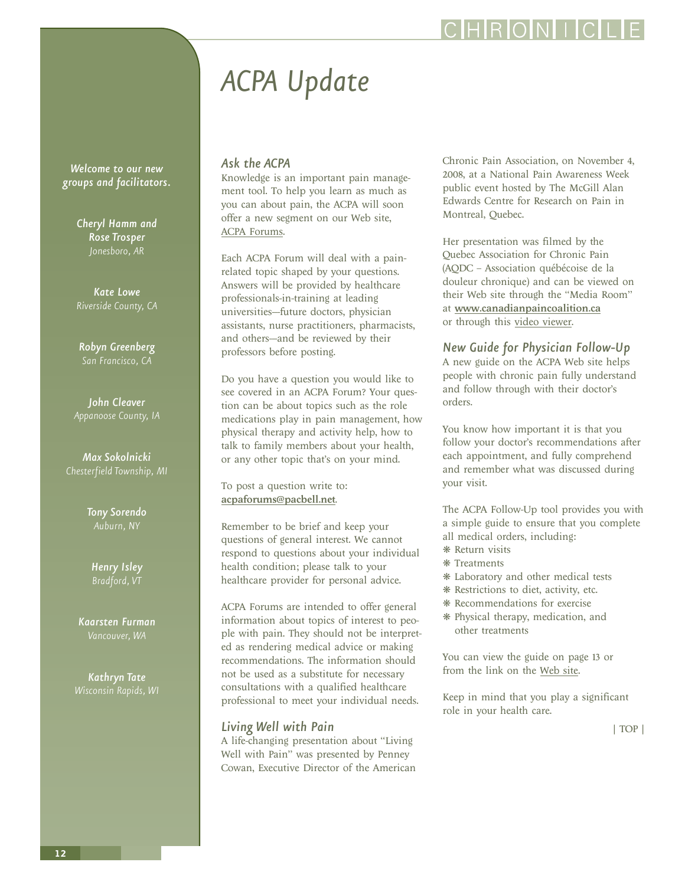# *ACPA Update*

<span id="page-11-0"></span>*Welcome to our new groups and facilitators.*

> *Cheryl Hamm and Rose Trosper Jonesboro, AR*

*Kate Lowe*

*Robyn Greenberg San Francisco, CA*

*John Cleaver Appanoose County, IA*

*Max Sokolnicki Chesterfield Township, MI*

*Tony Sorendo*

*Henry Isley Bradford, VT*

*Kaarsten Furman*

*Kathryn Tate*

#### *Ask the ACPA*

Knowledge is an important pain management tool. To help you learn as much as you can about pain, the ACPA will soon offer a new segment on our Web site, [ACPA Forums](http://www.theacpa.org/askACPA.asp).

Each ACPA Forum will deal with a painrelated topic shaped by your questions. Answers will be provided by healthcare professionals-in-training at leading universities-future doctors, physician assistants, nurse practitioners, pharmacists, and others--and be reviewed by their professors before posting.

Do you have a question you would like to see covered in an ACPA Forum? Your question can be about topics such as the role medications play in pain management, how physical therapy and activity help, how to talk to family members about your health, or any other topic that's on your mind.

To post a question write to: acpaforums@pacbell.net.

Remember to be brief and keep your questions of general interest. We cannot respond to questions about your individual health condition; please talk to your healthcare provider for personal advice.

ACPA Forums are intended to offer general information about topics of interest to people with pain. They should not be interpreted as rendering medical advice or making recommendations. The information should not be used as a substitute for necessary consultations with a qualified healthcare professional to meet your individual needs.

#### *Living Well with Pain*

A life-changing presentation about "Living Well with Pain" was presented by Penney Cowan, Executive Director of the American Chronic Pain Association, on November 4, 2008, at a National Pain Awareness Week public event hosted by The McGill Alan Edwards Centre for Research on Pain in Montreal, Quebec.

RIOINI I

Her presentation was filmed by the Quebec Association for Chronic Pain (AQDC – Association québécoise de la douleur chronique) and can be viewed on their Web site through the "Media Room" at www.canadianpaincoalition.ca or through this [video viewer.](www.mediaenligne.umontreal.ca/medclin/anesth/AQDC/ACPA04nov2008.wmv)

*New Guide for Physician Follow-Up* A new guide on the ACPA Web site helps people with chronic pain fully understand and follow through with their doctor's orders.

You know how important it is that you follow your doctor's recommendations after each appointment, and fully comprehend and remember what was discussed during your visit.

The ACPA Follow-Up tool provides you with a simple guide to ensure that you complete all medical orders, including:

- ❋ Return visits
- ❋ Treatments
- ❋ Laboratory and other medical tests
- ❋ Restrictions to diet, activity, etc.
- ❋ Recommendations for exercise
- ❋ Physical therapy, medication, and other treatments

You can view the guide on page 13 or from the link on the [Web site](www.theacpa.org/news_viewitem.asp?id=204).

Keep in mind that you play a significant role in your health care.

[| TOP |](#page-0-0)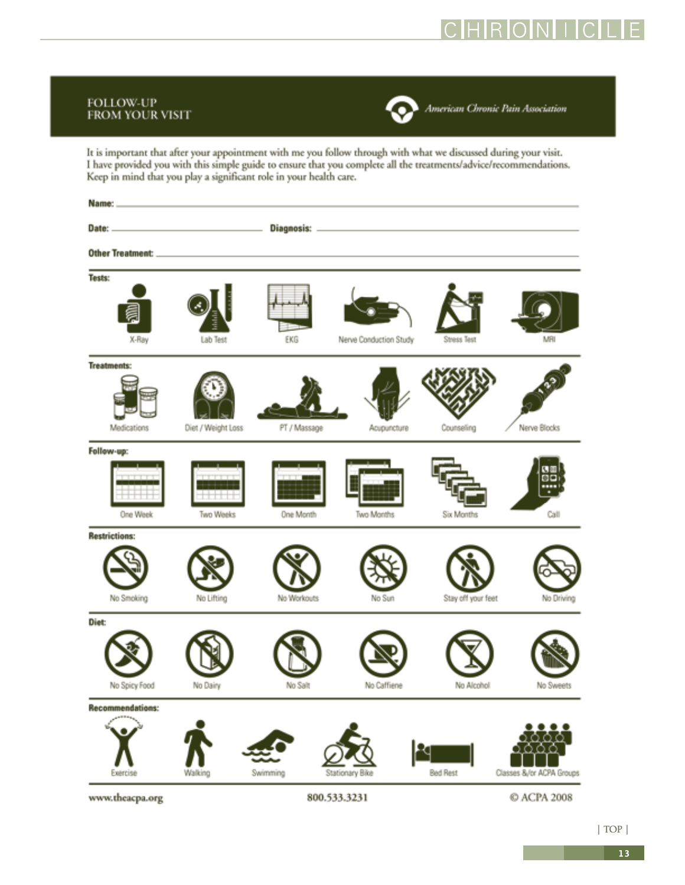

#### <span id="page-12-0"></span>**FOLLOW-UP FROM YOUR VISIT**



American Chronic Pain Association

It is important that after your appointment with me you follow through with what we discussed during your visit. I have provided you with this simple guide to ensure that you complete all the treatments/advice/recommendations. Keep in mind that you play a significant role in your health care.

Name: Diagnosis: \_ Date: Other Treatment: \_ Tests: Nerve Conduction Study X-Ray EKG MRI Lah Test **Treatments:** Counseling **Medications** Diet / Weight Loss PT / Massage Nerve Blocks Acupuncture Follow-up: One Week Two Weeks One Month Six Months Call Two Months **Restrictions:** No Smoking No Workouts Stay off your feet No Lifting No D Diet: No Spicy Food No Salt No Caffiene No Alcohol No Dairy No Sweets **Recommendations:** Bed Rest Classes &/or ACPA Groups Swimming Exercise Walking Stationary Bike

www.theacpa.org

800.533.3231

© ACPA 2008